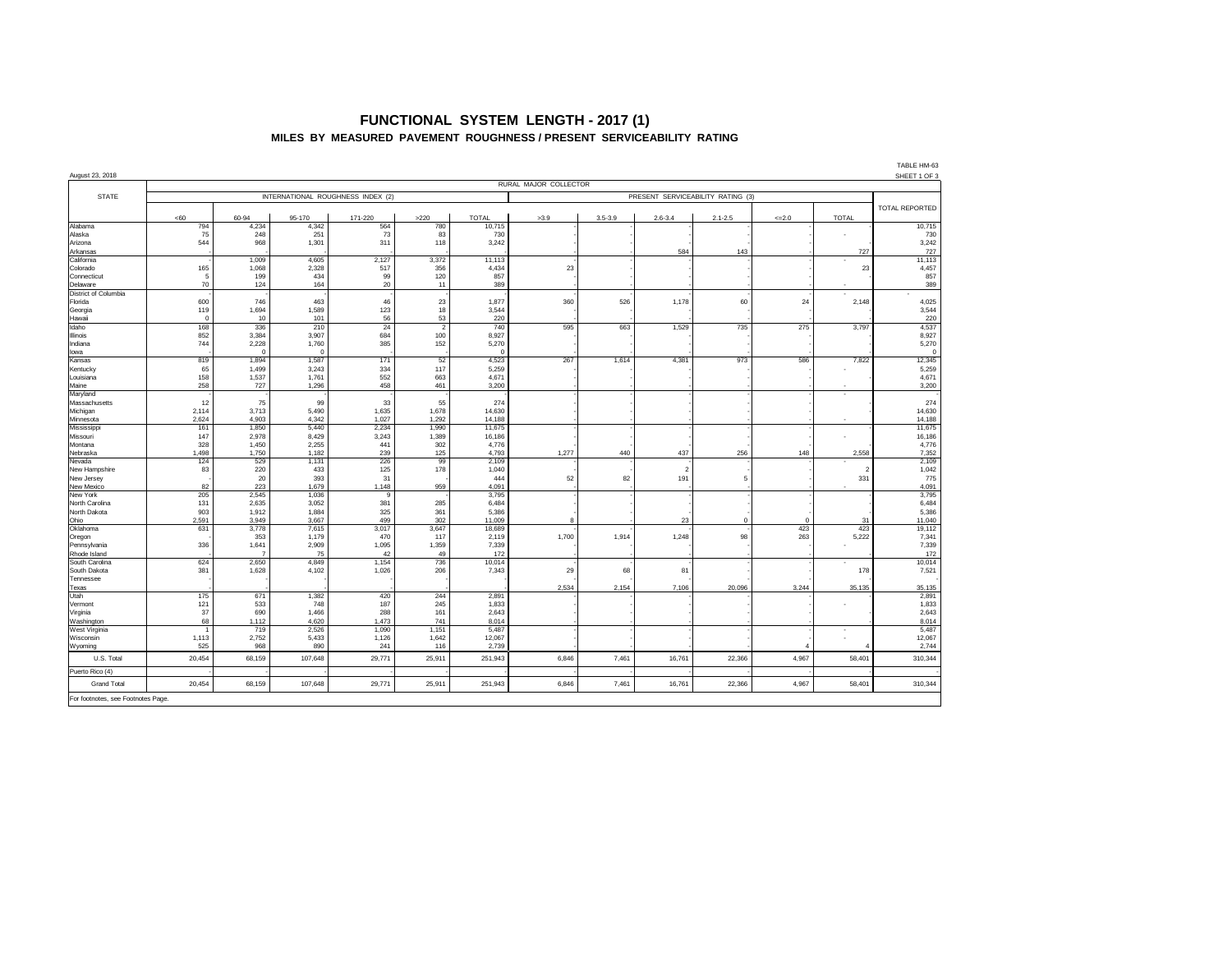#### **FUNCTIONAL SYSTEM LENGTH - 2017 (1) MILES BY MEASURED PAVEMENT ROUGHNESS / PRESENT SERVICEABILITY RATING**

| August 23, 2018                    |                                                                        |                |                |                |                       |                 |       |             |             |             |                |                | TABLE HM-63<br>SHEET 1 OF 3 |
|------------------------------------|------------------------------------------------------------------------|----------------|----------------|----------------|-----------------------|-----------------|-------|-------------|-------------|-------------|----------------|----------------|-----------------------------|
|                                    | RURAL MAJOR COLLECTOR                                                  |                |                |                |                       |                 |       |             |             |             |                |                |                             |
| <b>STATE</b>                       | INTERNATIONAL ROUGHNESS INDEX (2)<br>PRESENT SERVICEABILITY RATING (3) |                |                |                |                       |                 |       |             |             |             |                |                |                             |
|                                    | <60                                                                    | 60-94          | 95-170         | 171-220        | >220                  | <b>TOTAL</b>    | >3.9  | $3.5 - 3.9$ | $2.6 - 3.4$ | $2.1 - 2.5$ | $\leq 2.0$     | <b>TOTAL</b>   | TOTAL REPORTED              |
| Alabama                            | 794                                                                    | 4,234          | 4,342          | 564            | 780                   | 10.715          |       |             |             |             |                |                | 10,715                      |
| Alaska                             | 75                                                                     | 248            | 251            | 73             | 83                    | 730             |       |             |             |             |                |                | 730                         |
| Arizona<br>Arkansas                | 544                                                                    | 968            | 1,301          | 311            | 118                   | 3.242           |       |             | 584         | 143         |                | 727            | 3,242<br>727                |
| California                         |                                                                        | 1,009          | 4,605          | 2,127          | 3,372                 | 11,113          |       |             |             |             |                | ٠              | 11,113                      |
| Colorado                           | 165                                                                    | 1,068          | 2,328          | 517            | 356                   | 4,434           | 23    |             |             |             |                | 23             | 4,457                       |
| Connecticut                        | 5                                                                      | 199            | 434            | 99             | 120                   | 857             |       |             |             |             |                |                | 857                         |
| Delaware                           | 70                                                                     | 124            | 164            | 20             | 11                    | 389             |       |             |             |             |                |                | 389                         |
| District of Columbia               |                                                                        |                |                |                |                       |                 |       |             |             |             |                |                |                             |
| Florida                            | 600                                                                    | 746            | 463            | 46             | 23                    | 1,877           | 360   | 526         | 1,178       | 60          | 24             | 2,148          | 4,025                       |
| Georgia                            | 119                                                                    | 1.694          | 1.589          | 123            | 18                    | 3.544           |       |             |             |             |                |                | 3,544                       |
| Hawaii                             | $\Omega$                                                               | 10             | 101            | 56             | 53                    | 220             |       |             |             |             |                |                | 220                         |
| Idaho                              | 168<br>852                                                             | 336            | 210            | 24             | $\overline{2}$<br>100 | 740<br>8,927    | 595   | 663         | 1,529       | 735         | 275            | 3,797          | 4,537<br>8,927              |
| Illinois                           | 744                                                                    | 3,384<br>2,228 | 3,907<br>1,760 | 684<br>385     | 152                   | 5,270           |       |             |             |             |                |                | 5,270                       |
| Indiana<br>lowa                    |                                                                        | $\mathbf 0$    | $\mathbf{0}$   |                |                       | $\Omega$        |       |             |             |             |                |                | $^{\circ}$                  |
| Kansas                             | 819                                                                    | 1,894          | 1,587          | 171            | 52                    | 4,523           | 267   | 1,614       | 4,381       | 973         | 586            | 7,822          | 12,345                      |
| Kentucky                           | 65                                                                     | 1,499          | 3,243          | 334            | 117                   | 5,259           |       |             |             |             |                | ٠              | 5,259                       |
| Louisiana                          | 158                                                                    | 1,537          | 1,761          | 552            | 663                   | 4,671           |       |             |             |             |                |                | 4,671                       |
| Maine                              | 258                                                                    | 727            | 1,296          | 458            | 461                   | 3,200           |       |             |             |             |                |                | 3,200                       |
| Maryland                           |                                                                        |                |                |                |                       |                 |       |             |             |             |                | ٠              |                             |
| Massachusetts                      | 12                                                                     | 75             | 99             | 33             | 55                    | 274             |       |             |             |             |                |                | 274                         |
| Michigan                           | 2,114                                                                  | 3,713          | 5,490          | 1,635          | 1,678                 | 14,630          |       |             |             |             |                |                | 14,630                      |
| Minnesota                          | 2.624                                                                  | 4.903          | 4.342          | 1.027          | 1.292                 | 14.188          |       |             |             |             |                |                | 14,188                      |
| Mississipp                         | 161                                                                    | 1,850          | 5,440          | 2,234          | 1,990                 | 11,675          |       |             |             |             |                |                | 11,675                      |
| Missouri                           | 147                                                                    | 2,978          | 8,429          | 3,243          | 1,389                 | 16,186          |       |             |             |             |                |                | 16,186                      |
| Montana                            | 328                                                                    | 1,450          | 2,255          | 441            | 302                   | 4,776           |       |             |             |             |                |                | 4,776                       |
| Nebraska<br>Nevada                 | 1,498<br>124                                                           | 1,750<br>529   | 1,182<br>1,131 | 239<br>226     | 125<br>99             | 4,793<br>2,109  | 1,277 | 440         | 437         | 256         | 148            | 2,558          | 7,352<br>2,109              |
| New Hampshire                      | 83                                                                     | 220            | 433            | 125            | 178                   | 1.040           |       |             | -2          |             |                | $\overline{2}$ | 1,042                       |
| New Jersey                         |                                                                        | 20             | 393            | 31             |                       | 444             | 52    | 82          | 191         | 5           |                | 331            | 775                         |
| New Mexico                         | 82                                                                     | 223            | 1.679          | 1.148          | 959                   | 4.091           |       |             |             |             |                |                | 4.091                       |
| New York                           | 205                                                                    | 2.545          | 1,036          | 9              |                       | 3,795           |       |             |             |             |                |                | 3,795                       |
| North Carolina                     | 131                                                                    | 2,635          | 3,052          | 381            | 285                   | 6,484           |       |             |             |             |                |                | 6,484                       |
| North Dakota                       | 903                                                                    | 1.912          | 1.884          | 325            | 361                   | 5.386           |       |             |             |             |                |                | 5,386                       |
| Ohio                               | 2,591                                                                  | 3,949          | 3,667          | 499            | 302                   | 11,009          | 8     |             | 23          | $\Omega$    | $\Omega$       | 31             | 11,040                      |
| Oklahoma                           | 631                                                                    | 3.778          | 7,615          | 3,017          | 3,647                 | 18,689          |       |             |             |             | 423            | 423            | 19,112                      |
| Oregon                             |                                                                        | 353            | 1,179          | 470            | 117                   | 2,119           | 1,700 | 1,914       | 1,248       | 98          | 263            | 5,222          | 7,341                       |
| Pennsylvania                       | 336                                                                    | 1,641          | 2,909          | 1,095          | 1,359                 | 7,339           |       |             |             |             |                |                | 7,339                       |
| Rhode Island                       |                                                                        | $\overline{7}$ | 75             | 42             | 49                    | 172             |       |             |             |             |                |                | 172                         |
| South Carolina<br>South Dakota     | 624<br>381                                                             | 2,650<br>1,628 | 4,849<br>4,102 | 1,154<br>1.026 | 736<br>206            | 10,014<br>7,343 | 29    | 68          | 81          |             |                | ٠<br>178       | 10,014<br>7,521             |
| Tennessee                          |                                                                        |                |                |                |                       |                 |       |             |             |             |                |                |                             |
| Texas                              |                                                                        |                |                |                |                       |                 | 2,534 | 2,154       | 7,106       | 20,096      | 3,244          | 35,135         | 35,135                      |
| Utah                               | 175                                                                    | 671            | 1,382          | 420            | 244                   | 2,891           |       |             |             |             |                |                | 2,891                       |
| Vermont                            | 121                                                                    | 533            | 748            | 187            | 245                   | 1,833           |       |             |             |             |                |                | 1,833                       |
| Virginia                           | 37                                                                     | 690            | 1,466          | 288            | 161                   | 2.643           |       |             |             |             |                |                | 2,643                       |
| Washington                         | 68                                                                     | 1,112          | 4,620          | 1,473          | 741                   | 8.014           |       |             |             |             |                |                | 8,014                       |
| West Virginia                      |                                                                        | 719            | 2,526          | 1,090          | 1,151                 | 5,487           |       |             |             |             |                | $\sim$         | 5,487                       |
| Wisconsin                          | 1,113                                                                  | 2,752          | 5,433          | 1,126          | 1,642                 | 12,067          |       |             |             |             |                |                | 12,067                      |
| Wyoming                            | 525                                                                    | 968            | 890            | 241            | 116                   | 2.739           |       |             |             |             | $\overline{4}$ |                | 2.744                       |
| U.S. Total                         | 20,454                                                                 | 68,159         | 107,648        | 29,771         | 25,911                | 251,943         | 6,846 | 7,461       | 16,761      | 22,366      | 4,967          | 58,401         | 310,344                     |
| Puerto Rico (4)                    |                                                                        |                |                |                |                       |                 |       |             |             |             |                |                |                             |
| <b>Grand Total</b>                 | 20,454                                                                 | 68,159         | 107,648        | 29,771         | 25,911                | 251,943         | 6,846 | 7,461       | 16,761      | 22,366      | 4,967          | 58,401         | 310,344                     |
| For footnotes, see Footnotes Page. |                                                                        |                |                |                |                       |                 |       |             |             |             |                |                |                             |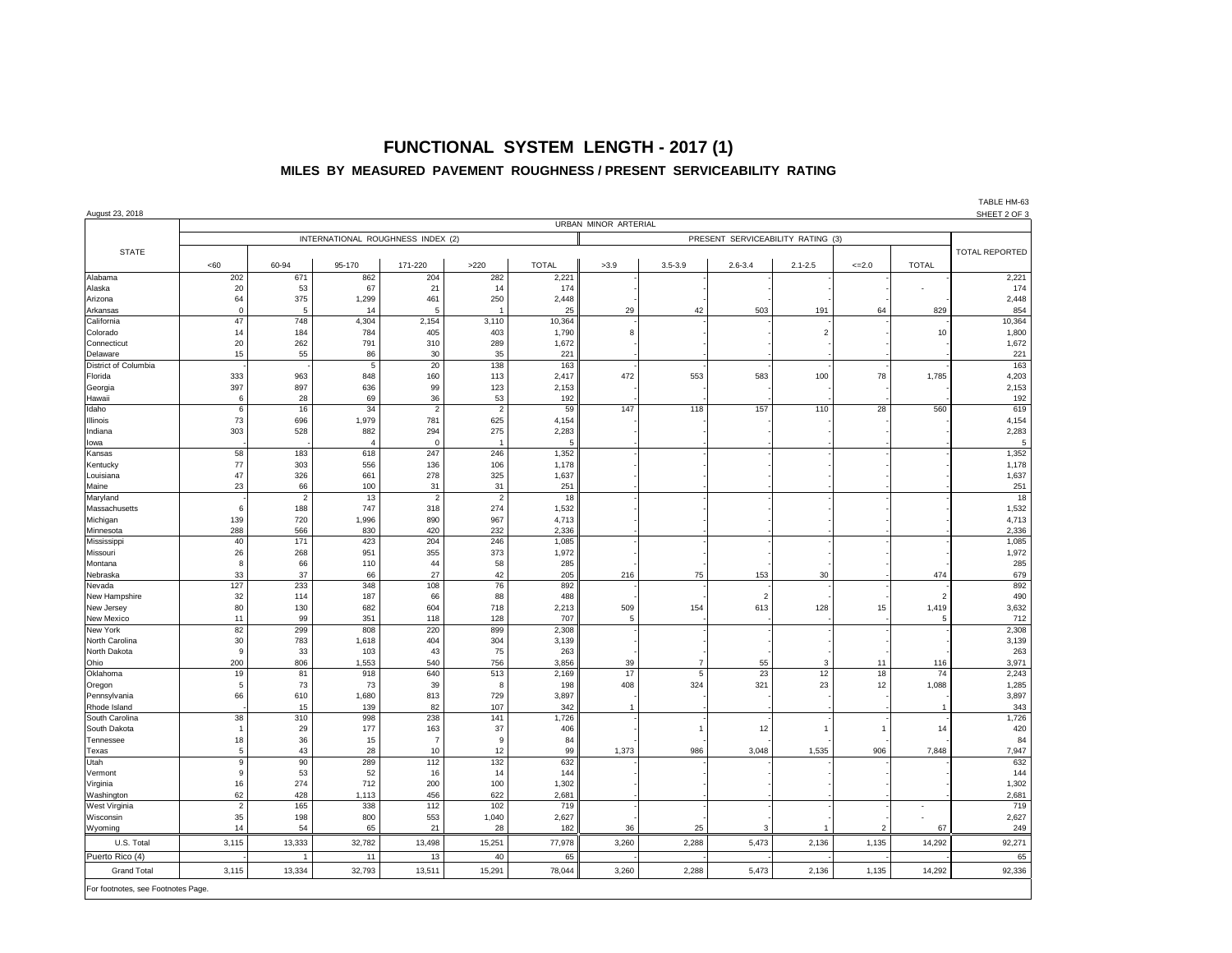### **FUNCTIONAL SYSTEM LENGTH - 2017 (1) MILES BY MEASURED PAVEMENT ROUGHNESS / PRESENT SERVICEABILITY RATING**

| August 23, 2018                    |                |                      |                                   |                      |                      |                      |                    |                |             |                |               |                          | SHEET 2 OF 3          |
|------------------------------------|----------------|----------------------|-----------------------------------|----------------------|----------------------|----------------------|--------------------|----------------|-------------|----------------|---------------|--------------------------|-----------------------|
|                                    |                |                      |                                   |                      |                      | URBAN MINOR ARTERIAL |                    |                |             |                |               |                          |                       |
|                                    |                |                      | INTERNATIONAL ROUGHNESS INDEX (2) |                      |                      |                      |                    |                |             |                |               |                          |                       |
| <b>STATE</b>                       |                |                      |                                   |                      |                      |                      |                    |                |             |                |               |                          | <b>TOTAL REPORTED</b> |
|                                    | <60            | 60-94                | 95-170                            | 171-220              | >220                 | <b>TOTAL</b>         | >3.9               | $3.5 - 3.9$    | $2.6 - 3.4$ | $2.1 - 2.5$    | $=2.0$        | <b>TOTAL</b>             |                       |
| Alabama                            | 202            | 671                  | 862                               | 204                  | 282                  | 2,221                |                    |                |             |                |               |                          | 2,221                 |
| Alaska                             | 20             | 53                   | 67                                | 21                   | 14                   | 174                  |                    |                |             |                |               |                          | 174                   |
| Arizona                            | 64             | 375                  | 1,299                             | 461                  | 250                  | 2,448                |                    |                |             |                |               |                          | 2,448                 |
| Arkansas                           | $\mathbf 0$    | 5                    | 14                                | 5                    |                      | 25                   | 29                 | 42             | 503         | 191            | 64            | 829                      | 854                   |
| California                         | 47             | 748                  | 4,304                             | 2,154                | 3,110                | 10,364               |                    |                |             |                |               |                          | 10,364                |
| Colorado                           | 14             | 184                  | 784                               | 405                  | 403                  | 1,790                | 8                  |                |             | $\sqrt{2}$     |               | 10                       | 1,800                 |
| Connecticut                        | 20             | 262                  | 791                               | 310                  | 289                  | 1,672                |                    |                |             |                |               |                          | 1,672                 |
| Delaware<br>District of Columbia   | 15             | 55                   | 86<br>5                           | 30<br>20             | 35<br>138            | 221<br>163           |                    |                |             |                |               |                          | 221<br>163            |
| Florida                            | 333            | 963                  | 848                               | 160                  | 113                  | 2,417                | 472                | 553            | 583         | 100            | 78            | 1,785                    | 4,203                 |
| Georgia                            | 397            | 897                  | 636                               | 99                   | 123                  | 2,153                |                    |                |             |                |               |                          | 2,153                 |
| Hawaii                             | 6              | 28                   | 69                                | 36                   | 53                   | 192                  |                    |                |             |                |               |                          | 192                   |
| Idaho                              | 6              | 16                   | 34                                | $\overline{2}$       | $\overline{2}$       | 59                   | 147                | 118            | 157         | 110            | 28            | 560                      | 619                   |
| Illinois                           | 73             | 696                  | 1,979                             | 781                  | 625                  | 4,154                |                    |                |             |                |               |                          | 4,154                 |
| Indiana                            | 303            | 528                  | 882                               | 294                  | 275                  | 2,283                |                    |                |             |                |               |                          | 2,283                 |
| lowa                               |                |                      | $\mathbf{A}$                      | $\mathbf 0$          | -1                   | 5                    |                    |                |             |                |               |                          | 5                     |
| Kansas                             | 58             | 183                  | 618                               | 247                  | 246                  | 1,352                |                    |                |             |                |               |                          | 1,352                 |
| Kentucky                           | 77             | 303                  | 556                               | 136                  | 106                  | 1,178                |                    |                |             |                |               |                          | 1,178                 |
| Louisiana                          | 47<br>23       | 326                  | 661                               | 278                  | 325                  | 1,637                |                    |                |             |                |               |                          | 1,637                 |
| Maine<br>Maryland                  |                | 66<br>$\overline{2}$ | 100<br>13                         | 31<br>$\overline{2}$ | 31<br>$\overline{2}$ | 251<br>18            |                    |                |             |                |               |                          | 251<br>18             |
| Massachusetts                      | 6              | 188                  | 747                               | 318                  | 274                  | 1,532                |                    |                |             |                |               |                          | 1,532                 |
| Michigan                           | 139            | 720                  | 1,996                             | 890                  | 967                  | 4,713                |                    |                |             |                |               |                          | 4,713                 |
| Minnesota                          | 288            | 566                  | 830                               | 420                  | 232                  | 2,336                |                    |                |             |                |               |                          | 2,336                 |
| Mississippi                        | 40             | 171                  | 423                               | 204                  | 246                  | 1,085                |                    |                |             |                |               |                          | 1,085                 |
| Missouri                           | 26             | 268                  | 951                               | 355                  | 373                  | 1,972                |                    |                |             |                |               |                          | 1,972                 |
| Montana                            | 8              | 66                   | 110                               | 44                   | 58                   | 285                  |                    |                |             |                |               |                          | 285                   |
| Nebraska                           | 33             | 37                   | 66                                | 27                   | 42                   | 205                  | 216                | 75             | 153         | 30             |               | 474                      | 679                   |
| Nevada                             | 127            | 233                  | 348                               | 108                  | 76                   | 892                  |                    |                |             |                |               |                          | 892                   |
| New Hampshire                      | 32             | 114                  | 187                               | 66                   | 88                   | 488                  |                    |                | 2           |                |               |                          | 490                   |
| New Jersey                         | 80<br>11       | 130<br>99            | 682<br>351                        | 604<br>118           | 718<br>128           | 2,213<br>707         | 509<br>$\,$ 5 $\,$ | 154            | 613         | 128            | 15            | 1,419<br>5               | 3,632<br>712          |
| New Mexico<br>New York             | 82             | 299                  | 808                               | 220                  | 899                  | 2,308                |                    |                |             |                |               |                          | 2,308                 |
| North Carolina                     | 30             | 783                  | 1,618                             | 404                  | 304                  | 3,139                |                    |                |             |                |               |                          | 3,139                 |
| North Dakota                       | 9              | 33                   | 103                               | 43                   | 75                   | 263                  |                    |                |             |                |               |                          | 263                   |
| Ohio                               | 200            | 806                  | 1,553                             | 540                  | 756                  | 3,856                | 39                 | $\overline{7}$ | 55          | 3              | 11            | 116                      | 3,971                 |
| Oklahoma                           | 19             | 81                   | 918                               | 640                  | 513                  | 2,169                | 17                 | $\overline{5}$ | 23          | 12             | 18            | 74                       | 2,243                 |
| Oregon                             | $\,$ 5 $\,$    | 73                   | 73                                | 39                   | 8                    | 198                  | 408                | 324            | 321         | 23             | 12            | 1,088                    | 1,285                 |
| Pennsylvania                       | 66             | 610                  | 1,680                             | 813                  | 729                  | 3,897                |                    |                |             |                |               |                          | 3,897                 |
| Rhode Island                       |                | 15                   | 139                               | 82                   | 107                  | 342                  | $\mathbf{1}$       |                |             |                |               |                          | 343                   |
| South Carolina                     | 38             | 310                  | 998                               | 238                  | 141                  | 1,726                |                    |                |             |                |               |                          | 1,726                 |
| South Dakota                       | $\overline{1}$ | 29                   | 177                               | 163                  | 37                   | 406<br>84            |                    |                | 12          | $\overline{1}$ | -1            | 14                       | 420                   |
| Tennessee<br>Texas                 | 18<br>5        | 36<br>43             | 15<br>28                          | $\overline{7}$<br>10 | $\overline{9}$<br>12 | 99                   | 1,373              | 986            | 3,048       | 1,535          | 906           | 7,848                    | 84<br>7,947           |
| Utah                               | 9              | 90                   | 289                               | 112                  | 132                  | 632                  |                    |                |             |                |               |                          | 632                   |
| Vermont                            | 9              | 53                   | 52                                | 16                   | 14                   | 144                  |                    |                |             |                |               |                          | 144                   |
| Virginia                           | 16             | 274                  | 712                               | 200                  | 100                  | 1,302                |                    |                |             |                |               |                          | 1,302                 |
| Washington                         | 62             | 428                  | 1,113                             | 456                  | 622                  | 2,681                |                    |                |             |                |               |                          | 2,681                 |
| West Virginia                      | $\overline{2}$ | 165                  | 338                               | 112                  | 102                  | 719                  |                    |                |             |                |               | $\overline{\phantom{a}}$ | 719                   |
| Wisconsin                          | 35             | 198                  | 800                               | 553                  | 1,040                | 2,627                |                    |                |             |                |               | ÷,                       | 2,627                 |
| Wyoming                            | 14             | 54                   | 65                                | 21                   | 28                   | 182                  | 36                 | 25             | 3           | 1              | $\mathcal{P}$ | 67                       | 249                   |
| U.S. Total                         | 3,115          | 13,333               | 32,782                            | 13,498               | 15,251               | 77,978               | 3,260              | 2,288          | 5,473       | 2,136          | 1,135         | 14,292                   | 92,271                |
| Puerto Rico (4)                    |                | 1                    | 11                                | 13                   | 40                   | 65                   |                    |                |             |                |               |                          | 65                    |
| <b>Grand Total</b>                 | 3,115          | 13,334               | 32,793                            | 13,511               | 15,291               | 78,044               | 3,260              | 2,288          | 5,473       | 2,136          | 1,135         | 14,292                   | 92,336                |
|                                    |                |                      |                                   |                      |                      |                      |                    |                |             |                |               |                          |                       |
| For footnotes, see Footnotes Page. |                |                      |                                   |                      |                      |                      |                    |                |             |                |               |                          |                       |

TABLE HM-63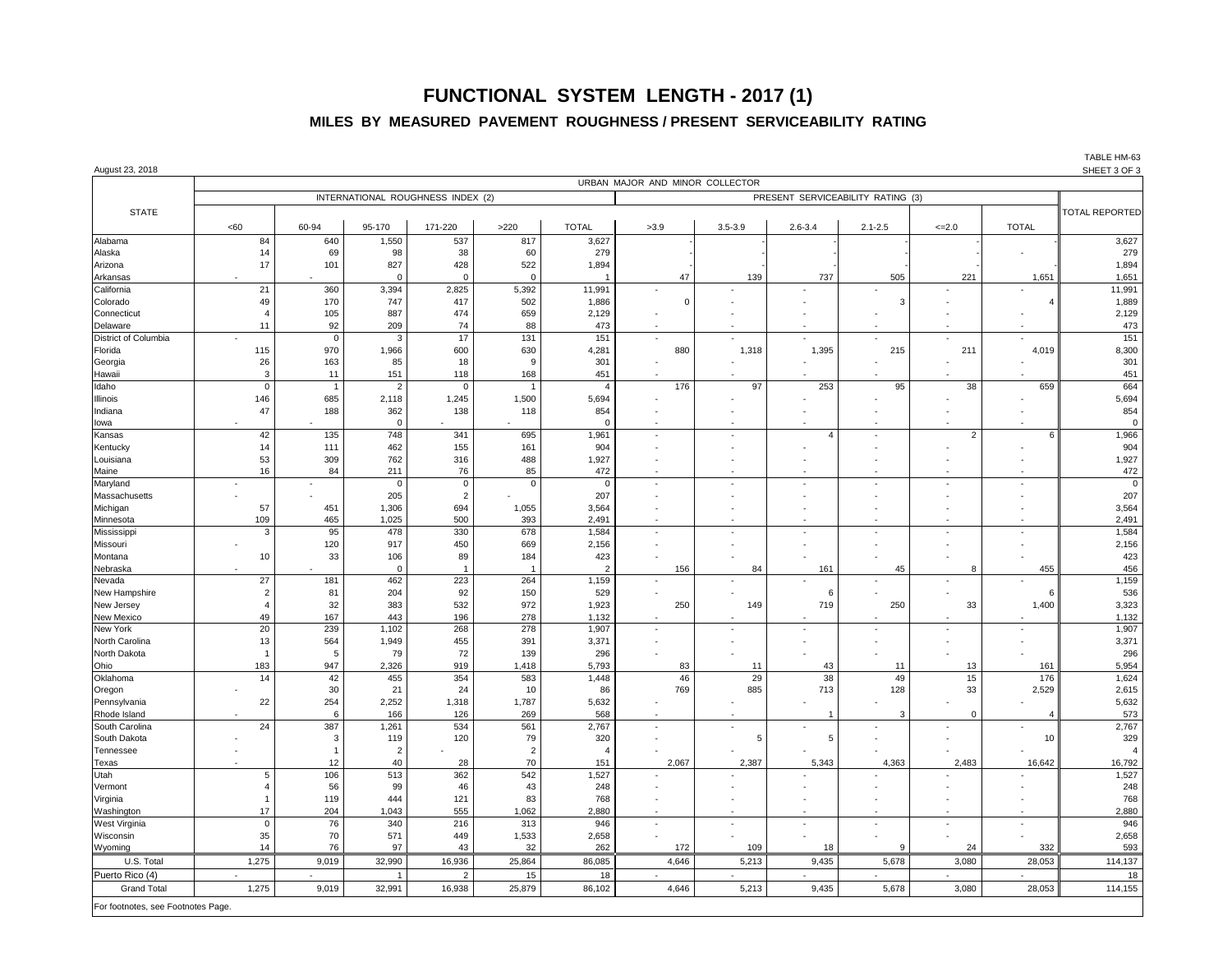## **FUNCTIONAL SYSTEM LENGTH - 2017 (1)**

#### **MILES BY MEASURED PAVEMENT ROUGHNESS / PRESENT SERVICEABILITY RATING**

| August 23, 2018                    |                                   |                |                    |                      |                |                |             |             |                |             |                          |              | <b>I ABLE HIVI-03</b><br>SHEET 3 OF 3 |
|------------------------------------|-----------------------------------|----------------|--------------------|----------------------|----------------|----------------|-------------|-------------|----------------|-------------|--------------------------|--------------|---------------------------------------|
|                                    | URBAN MAJOR AND MINOR COLLECTOR   |                |                    |                      |                |                |             |             |                |             |                          |              |                                       |
|                                    | INTERNATIONAL ROUGHNESS INDEX (2) |                |                    |                      |                |                |             |             |                |             |                          |              |                                       |
| <b>STATE</b>                       |                                   |                |                    |                      |                |                |             |             |                |             |                          |              | <b>TOTAL REPORTED</b>                 |
|                                    | <60                               | 60-94          | 95-170             | 171-220              | >220           | <b>TOTAL</b>   | >3.9        | $3.5 - 3.9$ | $2.6 - 3.4$    | $2.1 - 2.5$ | $=2.0$                   | <b>TOTAL</b> |                                       |
| Alabama                            | 84                                | 640            | 1,550              | 537                  | 817            | 3,627          |             |             |                |             |                          |              | 3,627                                 |
| Alaska                             | 14                                | 69             | 98                 | 38                   | 60             | 279            |             |             |                |             |                          |              | 279                                   |
| Arizona                            | 17                                | 101            | 827                | 428                  | 522            | 1,894          |             |             |                |             |                          |              | 1,894                                 |
| Arkansas                           |                                   |                |                    | $\Omega$             | $\Omega$       |                | 47          | 139         | 737            | 505         | 221                      | 1,651        | 1,651                                 |
| California                         | 21                                | 360            | 3,394              | 2,825                | 5,392          | 11,991         |             | ×,          |                |             |                          |              | 11,991                                |
| Colorado                           | 49                                | 170            | 747                | 417                  | 502            | 1,886          | $\mathbf 0$ |             |                | 3           |                          |              | 1,889                                 |
| Connecticut<br>Delaware            | $\overline{4}$<br>11              | 105<br>92      | 887<br>209         | 474<br>74            | 659<br>88      | 2,129<br>473   |             |             |                |             |                          |              | 2,129<br>473                          |
| District of Columbia               |                                   | $\Omega$       | 3                  | 17                   | 131            | 151            |             |             |                |             |                          |              | 151                                   |
| Florida                            | 115                               | 970            | 1,966              | 600                  | 630            | 4,281          | 880         | 1,318       | 1,395          | 215         | 211                      | 4,019        | 8,300                                 |
| Georgia                            | 26                                | 163            | 85                 | 18                   | 9              | 301            |             |             |                |             |                          |              | 301                                   |
| Hawaii                             | 3                                 | 11             | 151                | 118                  | 168            | 451            |             |             |                |             |                          |              | 451                                   |
| Idaho                              | $\mathbf 0$                       | $\overline{1}$ | $\overline{2}$     | $\mathbf 0$          | $\overline{1}$ | $\overline{4}$ | 176         | 97          | 253            | 95          | 38                       | 659          | 664                                   |
| <b>Illinois</b>                    | 146                               | 685            | 2,118              | 1,245                | 1,500          | 5,694          |             |             |                |             |                          |              | 5,694                                 |
| Indiana                            | 47                                | 188            | 362                | 138                  | 118            | 854            |             |             |                |             | ÷,                       |              | 854                                   |
| lowa                               |                                   |                | $\mathbf 0$        |                      |                | $\Omega$       |             |             |                |             |                          | 6            | $\mathbf 0$                           |
| Kansas                             | 42<br>14                          | 135<br>111     | 748                | 341<br>155           | 695<br>161     | 1,961<br>904   |             |             | $\overline{4}$ | ä,          | $\overline{c}$           |              | 1,966<br>904                          |
| Kentucky<br>Louisiana              | 53                                | 309            | 462<br>762         | 316                  | 488            | 1,927          |             |             |                |             |                          |              | 1,927                                 |
| Maine                              | 16                                | 84             | 211                | 76                   | 85             | 472            |             |             |                |             |                          |              | 472                                   |
| Maryland                           |                                   |                | $\Omega$           | $\mathsf{O}$         | $\mathbf 0$    | -0             |             |             |                |             |                          |              | $\mathbf 0$                           |
| Massachusetts                      |                                   |                | 205                | $\overline{c}$       |                | 207            |             |             |                |             |                          |              | 207                                   |
| Michigan                           | 57                                | 451            | 1,306              | 694                  | 1,055          | 3,564          |             |             |                |             |                          |              | 3,564                                 |
| Minnesota                          | 109                               | 465            | 1,025              | 500                  | 393            | 2,491          |             |             |                |             |                          |              | 2,491                                 |
| Mississippi                        | 3                                 | 95             | 478                | 330                  | 678            | 1,584          |             | ÷,          |                | ÷,          | ÷,                       |              | 1,584                                 |
| Missouri                           |                                   | 120            | 917                | 450                  | 669            | 2,156          |             |             |                |             |                          |              | 2,156                                 |
| Montana<br>Nebraska                | 10                                | 33             | 106<br>$\mathbf 0$ | 89<br>$\overline{1}$ | 184<br>-1      | 423<br>2       | 156         | 84          | 161            | 45          | 8                        | 455          | 423<br>456                            |
| Nevada                             | 27                                | 181            | 462                | 223                  | 264            | 1,159          |             |             |                |             |                          |              | 1,159                                 |
| New Hampshire                      | $\overline{2}$                    | 81             | 204                | 92                   | 150            | 529            |             |             | 6              |             |                          | 6            | 536                                   |
| New Jersey                         | $\overline{4}$                    | 32             | 383                | 532                  | 972            | 1,923          | 250         | 149         | 719            | 250         | 33                       | 1,400        | 3,323                                 |
| New Mexico                         | 49                                | 167            | 443                | 196                  | 278            | 1,132          |             |             |                |             |                          |              | 1,132                                 |
| New York                           | 20                                | 239            | 1,102              | 268                  | 278            | 1,907          |             |             |                |             |                          |              | 1,907                                 |
| North Carolina                     | 13                                | 564            | 1,949              | 455                  | 391            | 3,371          |             |             |                |             |                          |              | 3,371                                 |
| North Dakota                       | $\overline{1}$                    | -5             | 79                 | 72                   | 139            | 296            |             |             |                |             |                          |              | 296                                   |
| Ohio<br>Oklahoma                   | 183<br>14                         | 947<br>42      | 2,326<br>455       | 919<br>354           | 1,418<br>583   | 5,793<br>1,448 | 83<br>46    | 11<br>29    | 43<br>38       | 11<br>49    | 13<br>15                 | 161<br>176   | 5,954<br>1,624                        |
| Oregon                             |                                   | 30             | 21                 | 24                   | 10             | 86             | 769         | 885         | 713            | 128         | 33                       | 2,529        | 2,615                                 |
| Pennsylvania                       | 22                                | 254            | 2,252              | 1,318                | 1,787          | 5,632          |             |             |                |             |                          |              | 5,632                                 |
| Rhode Island                       |                                   | 6              | 166                | 126                  | 269            | 568            |             |             | 1              | 3           | $\mathbf{0}$             |              | 573                                   |
| South Carolina                     | 24                                | 387            | 1,261              | 534                  | 561            | 2,767          |             | ٠           |                |             |                          |              | 2,767                                 |
| South Dakota                       |                                   | 3              | 119                | 120                  | 79             | 320            |             | 5           | 5              |             |                          | 10           | 329                                   |
| Tennessee                          |                                   |                | $\overline{2}$     |                      | $\overline{2}$ | $\overline{4}$ |             |             |                |             |                          |              | $\overline{4}$                        |
| Texas                              |                                   | 12             | 40                 | 28                   | 70             | 151            | 2,067       | 2,387       | 5,343          | 4,363       | 2,483                    | 16,642       | 16,792                                |
| Utah<br>Vermont                    | 5<br>$\overline{4}$               | 106<br>56      | 513<br>99          | 362<br>46            | 542<br>43      | 1,527<br>248   |             |             |                |             |                          |              | 1,527<br>248                          |
| Virginia                           | $\overline{1}$                    | 119            | 444                | 121                  | 83             | 768            |             |             |                |             |                          |              | 768                                   |
| Washington                         | 17                                | 204            | 1,043              | 555                  | 1,062          | 2,880          |             |             |                |             |                          |              | 2,880                                 |
| West Virginia                      | $\mathbf 0$                       | 76             | 340                | 216                  | 313            | 946            |             | ×,          |                | ×,          | $\overline{\phantom{a}}$ |              | 946                                   |
| Wisconsin                          | 35                                | 70             | 571                | 449                  | 1,533          | 2,658          |             |             |                |             |                          |              | 2,658                                 |
| Wyoming                            | 14                                | 76             | 97                 | 43                   | 32             | 262            | 172         | 109         | 18             | 9           | 24                       | 332          | 593                                   |
| U.S. Total                         | 1,275                             | 9,019          | 32,990             | 16,936               | 25,864         | 86,085         | 4,646       | 5,213       | 9,435          | 5,678       | 3,080                    | 28,053       | 114,137                               |
| Puerto Rico (4)                    |                                   |                |                    | $\overline{2}$       | 15             | 18             |             |             |                |             |                          |              | 18                                    |
| <b>Grand Total</b>                 | 1,275                             | 9,019          | 32,991             | 16,938               | 25,879         | 86,102         | 4,646       | 5,213       | 9,435          | 5,678       | 3,080                    | 28,053       | 114,155                               |
| For footnotes, see Footnotes Page. |                                   |                |                    |                      |                |                |             |             |                |             |                          |              |                                       |

TABLE HM-63